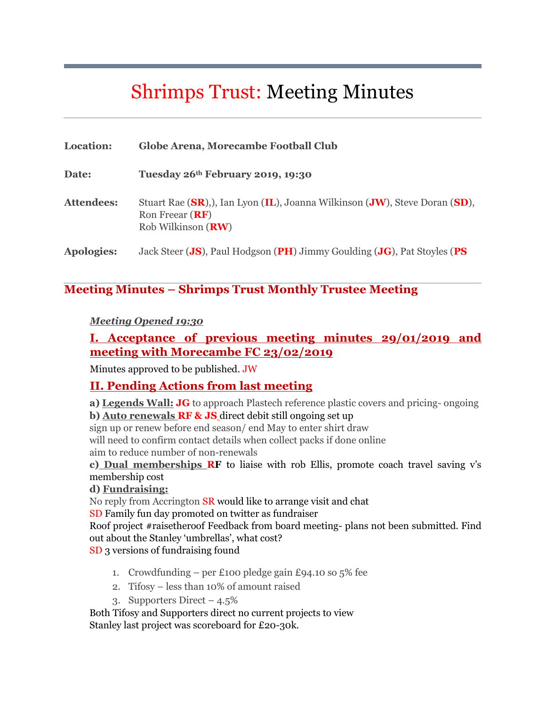# Shrimps Trust: Meeting Minutes

| <b>Location:</b>  | Globe Arena, Morecambe Football Club                                                                                            |
|-------------------|---------------------------------------------------------------------------------------------------------------------------------|
| Date:             | Tuesday 26th February 2019, 19:30                                                                                               |
| <b>Attendees:</b> | Stuart Rae (SR), J. Ian Lyon (IL), Joanna Wilkinson (JW), Steve Doran (SD),<br>Ron Freear $(RF)$<br>Rob Wilkinson ( <b>RW</b> ) |
| <b>Apologies:</b> | Jack Steer (JS), Paul Hodgson (PH) Jimmy Goulding (JG), Pat Stoyles (PS                                                         |

#### **Meeting Minutes – Shrimps Trust Monthly Trustee Meeting**

#### *Meeting Opened 19:30*

#### **I. Acceptance of previous meeting minutes 29/01/2019 and meeting with Morecambe FC 23/02/2019**

Minutes approved to be published. JW

#### **II. Pending Actions from last meeting**

**a) Legends Wall: JG** to approach Plastech reference plastic covers and pricing- ongoing **b) Auto renewals RF & JS** direct debit still ongoing set up

sign up or renew before end season/ end May to enter shirt draw

will need to confirm contact details when collect packs if done online

aim to reduce number of non-renewals

**c) Dual memberships RF** to liaise with rob Ellis, promote coach travel saving v's membership cost

#### **d) Fundraising:**

No reply from Accrington SR would like to arrange visit and chat

SD Family fun day promoted on twitter as fundraiser

Roof project #raisetheroof Feedback from board meeting- plans not been submitted. Find out about the Stanley 'umbrellas', what cost?

SD 3 versions of fundraising found

- 1. Crowdfunding per £100 pledge gain £94.10 so  $5\%$  fee
- 2. Tifosy less than 10% of amount raised
- 3. Supporters Direct  $-4.5\%$

Both Tifosy and Supporters direct no current projects to view Stanley last project was scoreboard for £20-30k.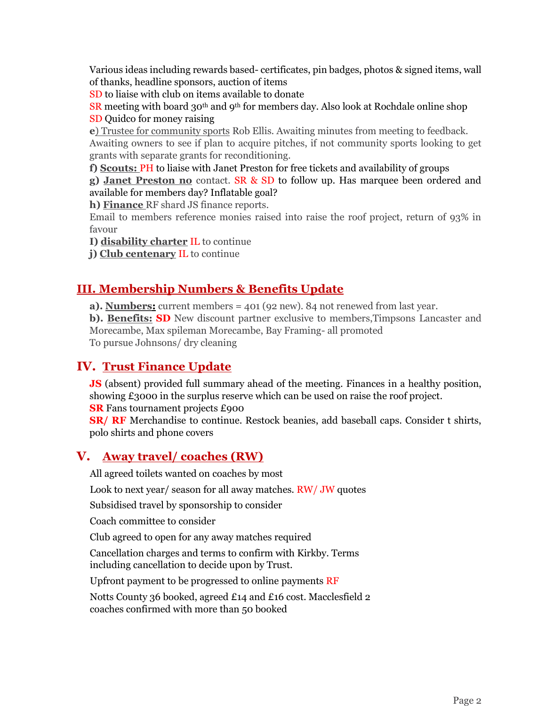Various ideas including rewards based- certificates, pin badges, photos & signed items, wall of thanks, headline sponsors, auction of items

SD to liaise with club on items available to donate

SR meeting with board 30<sup>th</sup> and 9<sup>th</sup> for members day. Also look at Rochdale online shop SD Quidco for money raising

**e**) Trustee for community sports Rob Ellis. Awaiting minutes from meeting to feedback. Awaiting owners to see if plan to acquire pitches, if not community sports looking to get grants with separate grants for reconditioning.

**f) Scouts:** PH to liaise with Janet Preston for free tickets and availability of groups

**g) Janet Preston no** contact. SR & SD to follow up. Has marquee been ordered and available for members day? Inflatable goal?

**h) Finance** RF shard JS finance reports.

Email to members reference monies raised into raise the roof project, return of 93% in favour

**I) disability charter** IL to continue

**j) Club centenary** IL to continue

#### **III. Membership Numbers & Benefits Update**

**a). Numbers:** current members = 401 (92 new). 84 not renewed from last year.

**b). Benefits: SD** New discount partner exclusive to members, Timpsons Lancaster and Morecambe, Max spileman Morecambe, Bay Framing- all promoted To pursue Johnsons/ dry cleaning

### **IV. Trust Finance Update**

**JS** (absent) provided full summary ahead of the meeting. Finances in a healthy position, showing £3000 in the surplus reserve which can be used on raise the roof project. **SR** Fans tournament projects £900

**SR/ RF** Merchandise to continue. Restock beanies, add baseball caps. Consider t shirts, polo shirts and phone covers

#### **V. Away travel/ coaches (RW)**

All agreed toilets wanted on coaches by most

Look to next year/ season for all away matches. RW/ JW quotes

Subsidised travel by sponsorship to consider

Coach committee to consider

Club agreed to open for any away matches required

Cancellation charges and terms to confirm with Kirkby. Terms including cancellation to decide upon by Trust.

Upfront payment to be progressed to online payments RF

Notts County 36 booked, agreed £14 and £16 cost. Macclesfield 2 coaches confirmed with more than 50 booked